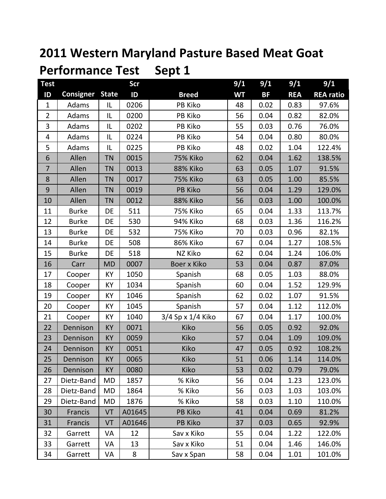# **2011 Western Maryland Pasture Based Meat Goat**

| <b>Test</b>    |                  |              | Scr     |                   | 9/1       | 9/1       | 9/1        | 9/1              |
|----------------|------------------|--------------|---------|-------------------|-----------|-----------|------------|------------------|
| ID             | <b>Consigner</b> | <b>State</b> | ID      | <b>Breed</b>      | <b>WT</b> | <b>BF</b> | <b>REA</b> | <b>REA</b> ratio |
| $\mathbf{1}$   | Adams            | IL           | 0206    | PB Kiko           | 48        | 0.02      | 0.83       | 97.6%            |
| $\overline{2}$ | Adams            | IL           | 0200    | PB Kiko           | 56        | 0.04      | 0.82       | 82.0%            |
| 3              | Adams            | IL           | 0202    | PB Kiko           | 55        | 0.03      | 0.76       | 76.0%            |
| 4              | Adams            | IL           | 0224    | PB Kiko           | 54        | 0.04      | 0.80       | 80.0%            |
| 5              | Adams            | IL           | 0225    | PB Kiko           | 48        | 0.02      | 1.04       | 122.4%           |
| 6              | Allen            | <b>TN</b>    | 0015    | <b>75% Kiko</b>   | 62        | 0.04      | 1.62       | 138.5%           |
| $\overline{7}$ | Allen            | <b>TN</b>    | 0013    | 88% Kiko          | 63        | 0.05      | 1.07       | 91.5%            |
| 8              | Allen            | <b>TN</b>    | 0017    | <b>75% Kiko</b>   | 63        | 0.05      | 1.00       | 85.5%            |
| $9\,$          | Allen            | <b>TN</b>    | 0019    | <b>PB Kiko</b>    | 56        | 0.04      | 1.29       | 129.0%           |
| 10             | Allen            | <b>TN</b>    | 0012    | 88% Kiko          | 56        | 0.03      | 1.00       | 100.0%           |
| 11             | <b>Burke</b>     | DE           | 511     | 75% Kiko          | 65        | 0.04      | 1.33       | 113.7%           |
| 12             | <b>Burke</b>     | DE           | 530     | 94% Kiko          | 68        | 0.03      | 1.36       | 116.2%           |
| 13             | <b>Burke</b>     | DE           | 532     | <b>75% Kiko</b>   | 70        | 0.03      | 0.96       | 82.1%            |
| 14             | <b>Burke</b>     | DE           | 508     | <b>86% Kiko</b>   | 67        | 0.04      | 1.27       | 108.5%           |
| 15             | <b>Burke</b>     | DE           | 518     | NZ Kiko           | 62        | 0.04      | 1.24       | 106.0%           |
| 16             | Carr             | <b>MD</b>    | 0007    | Boer x Kiko       | 53        | 0.04      | 0.87       | 87.0%            |
| 17             | Cooper           | KY           | 1050    | Spanish           | 68        | 0.05      | 1.03       | 88.0%            |
| 18             | Cooper           | KY           | 1034    | Spanish           | 60        | 0.04      | 1.52       | 129.9%           |
| 19             | Cooper           | KY           | 1046    | Spanish           | 62        | 0.02      | 1.07       | 91.5%            |
| 20             | Cooper           | KY           | 1045    | Spanish           | 57        | 0.04      | 1.12       | 112.0%           |
| 21             | Cooper           | <b>KY</b>    | 1040    | 3/4 Sp x 1/4 Kiko | 67        | 0.04      | 1.17       | 100.0%           |
| 22             | Dennison         | <b>KY</b>    | 0071    | Kiko              | 56        | 0.05      | 0.92       | 92.0%            |
| 23             | Dennison         | <b>KY</b>    | 0059    | Kiko              | 57        | 0.04      | 1.09       | 109.0%           |
| 24             | Dennison         | <b>KY</b>    | 0051    | Kiko              | 47        | 0.05      | 0.92       | 108.2%           |
| 25             | Dennison         | <b>KY</b>    | 0065    | Kiko              | 51        | 0.06      | 1.14       | 114.0%           |
| 26             | Dennison         | <b>KY</b>    | 0080    | Kiko              | 53        | 0.02      | 0.79       | 79.0%            |
| 27             | Dietz-Band       | MD           | 1857    | % Kiko            | 56        | 0.04      | 1.23       | 123.0%           |
| 28             | Dietz-Band       | MD           | 1864    | % Kiko            | 56        | 0.03      | 1.03       | 103.0%           |
| 29             | Dietz-Band       | MD           | 1876    | % Kiko            | 58        | 0.03      | 1.10       | 110.0%           |
| 30             | Francis          | VT           | A01645  | <b>PB Kiko</b>    | 41        | 0.04      | 0.69       | 81.2%            |
| 31             | Francis          | VT           | A01646  | <b>PB Kiko</b>    | 37        | 0.03      | 0.65       | 92.9%            |
| 32             | Garrett          | VA           | 12      | Sav x Kiko        | 55        | 0.04      | 1.22       | 122.0%           |
| 33             | Garrett          | VA           | 13      | Sav x Kiko        | 51        | 0.04      | 1.46       | 146.0%           |
| 34             | Garrett          | VA           | $\bf 8$ | Sav x Span        | 58        | 0.04      | 1.01       | 101.0%           |

**Performance Test Sept 1**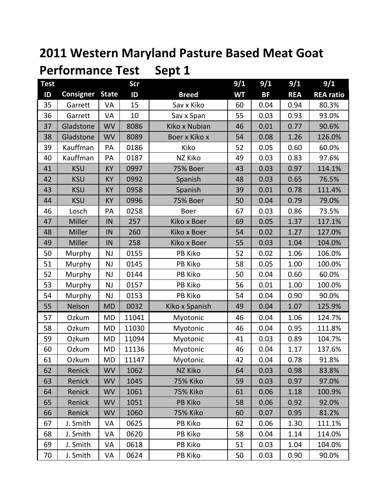#### **2011 Western Maryland Pasture Based Meat Goat Performance Test Sept 1**

| <b>Test</b> |                  |              | <b>Scr</b> |                 | 9/1       | 9/1       | 9/1        | 9/1              |
|-------------|------------------|--------------|------------|-----------------|-----------|-----------|------------|------------------|
| ID          | <b>Consigner</b> | <b>State</b> | ID         | <b>Breed</b>    | <b>WT</b> | <b>BF</b> | <b>REA</b> | <b>REA ratio</b> |
| 35          | Garrett          | VA           | 15         | Sav x Kiko      | 60        | 0.04      | 0.94       | 80.3%            |
| 36          | Garrett          | VA           | 10         | Sav x Span      | 55        | 0.03      | 0.93       | 93.0%            |
| 37          | Gladstone        | <b>WV</b>    | 8086       | Kiko x Nubian   | 46        | 0.01      | 0.77       | 90.6%            |
| 38          | Gladstone        | <b>WV</b>    | 8089       | Boer x Kiko x   | 54        | 0.08      | 1.26       | 126.0%           |
| 39          | Kauffman         | PA           | 0186       | Kiko            | 52        | 0.05      | 0.60       | 60.0%            |
| 40          | Kauffman         | PA           | 0187       | NZ Kiko         | 49        | 0.03      | 0.83       | 97.6%            |
| 41          | <b>KSU</b>       | KY           | 0997       | 75% Boer        | 43        | 0.03      | 0.97       | 114.1%           |
| 42          | <b>KSU</b>       | KY           | 0992       | Spanish         | 48        | 0.03      | 0.65       | 76.5%            |
| 43          | <b>KSU</b>       | <b>KY</b>    | 0958       | Spanish         | 39        | 0.01      | 0.78       | 111.4%           |
| 44          | <b>KSU</b>       | <b>KY</b>    | 0996       | 75% Boer        | 50        | 0.04      | 0.79       | 79.0%            |
| 46          | Losch            | PA           | 0258       | <b>Boer</b>     | 67        | 0.03      | 0.86       | 73.5%            |
| 47          | Miller           | IN           | 257        | Kiko x Boer     | 69        | 0.05      | 1.37       | 117.1%           |
| 48          | Miller           | IN           | 260        | Kiko x Boer     | 54        | 0.02      | 1.27       | 127.0%           |
| 49          | Miller           | IN           | 258        | Kiko x Boer     | 55        | 0.03      | 1.04       | 104.0%           |
| 50          | Murphy           | NJ           | 0155       | PB Kiko         | 52        | 0.02      | 1.06       | 106.0%           |
| 51          | Murphy           | <b>NJ</b>    | 0145       | PB Kiko         | 58        | 0.05      | 1.00       | 100.0%           |
| 52          | Murphy           | <b>NJ</b>    | 0144       | PB Kiko         | 50        | 0.04      | 0.60       | 60.0%            |
| 53          | Murphy           | <b>NJ</b>    | 0157       | PB Kiko         | 56        | 0.01      | 1.00       | 100.0%           |
| 54          | Murphy           | <b>NJ</b>    | 0153       | PB Kiko         | 54        | 0.04      | 0.90       | 90.0%            |
| 55          | Nelson           | <b>MD</b>    | 0032       | Kiko x Spanish  | 49        | 0.04      | 1.07       | 125.9%           |
| 57          | Ozkum            | <b>MD</b>    | 11041      | Myotonic        | 46        | 0.04      | 1.06       | 124.7%           |
| 58          | Ozkum            | <b>MD</b>    | 11030      | Myotonic        | 46        | 0.04      | 0.95       | 111.8%           |
| 59          | Ozkum            | <b>MD</b>    | 11094      | Myotonic        | 41        | 0.03      | 0.89       | 104.7%           |
| 60          | Ozkum            | <b>MD</b>    | 11136      | Myotonic        | 46        | 0.04      | 1.17       | 137.6%           |
| 61          | Ozkum            | MD           | 11147      | Myotonic        | 42        | 0.04      | 0.78       | 91.8%            |
| 62          | Renick           | <b>WV</b>    | 1062       | NZ Kiko         | 64        | 0.03      | 0.98       | 83.8%            |
| 63          | Renick           | <b>WV</b>    | 1045       | 75% Kiko        | 59        | 0.03      | 0.97       | 97.0%            |
| 64          | Renick           | <b>WV</b>    | 1061       | <b>75% Kiko</b> | 61        | 0.06      | 1.18       | 100.9%           |
| 65          | Renick           | <b>WV</b>    | 1051       | <b>PB Kiko</b>  | 58        | 0.06      | 0.92       | 92.0%            |
| 66          | Renick           | <b>WV</b>    | 1060       | <b>75% Kiko</b> | 60        | 0.07      | 0.95       | 81.2%            |
| 67          | J. Smith         | VA           | 0625       | PB Kiko         | 62        | 0.06      | 1.30       | 111.1%           |
| 68          | J. Smith         | VA           | 0620       | PB Kiko         | 58        | 0.04      | 1.14       | 114.0%           |
| 69          | J. Smith         | VA           | 0618       | PB Kiko         | 51        | 0.03      | 1.04       | 104.0%           |
| 70          | J. Smith         | VA           | 0624       | PB Kiko         | 50        | 0.03      | 0.90       | 90.0%            |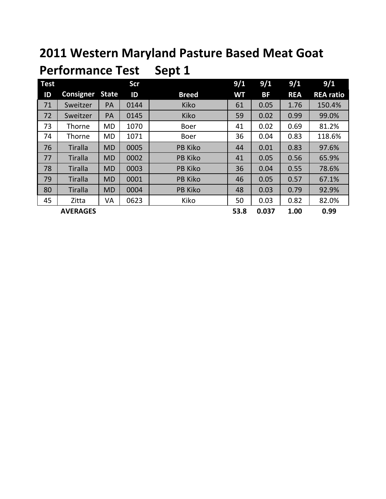## **2011 Western Maryland Pasture Based Meat Goat**

| <b>Test</b> |                  |              | Scr  |                | 9/1       | 9/1       | 9/1        | 9/1              |
|-------------|------------------|--------------|------|----------------|-----------|-----------|------------|------------------|
| ID          | <b>Consigner</b> | <b>State</b> | ID   | <b>Breed</b>   | <b>WT</b> | <b>BF</b> | <b>REA</b> | <b>REA ratio</b> |
| 71          | Sweitzer         | PA           | 0144 | Kiko           | 61        | 0.05      | 1.76       | 150.4%           |
| 72          | Sweitzer         | PA           | 0145 | Kiko           | 59        | 0.02      | 0.99       | 99.0%            |
| 73          | Thorne           | <b>MD</b>    | 1070 | <b>Boer</b>    | 41        | 0.02      | 0.69       | 81.2%            |
| 74          | <b>Thorne</b>    | MD           | 1071 | <b>Boer</b>    | 36        | 0.04      | 0.83       | 118.6%           |
| 76          | <b>Tiralla</b>   | <b>MD</b>    | 0005 | <b>PB Kiko</b> | 44        | 0.01      | 0.83       | 97.6%            |
| 77          | <b>Tiralla</b>   | <b>MD</b>    | 0002 | <b>PB Kiko</b> | 41        | 0.05      | 0.56       | 65.9%            |
| 78          | <b>Tiralla</b>   | <b>MD</b>    | 0003 | <b>PB Kiko</b> | 36        | 0.04      | 0.55       | 78.6%            |
| 79          | <b>Tiralla</b>   | <b>MD</b>    | 0001 | <b>PB Kiko</b> | 46        | 0.05      | 0.57       | 67.1%            |
| 80          | <b>Tiralla</b>   | <b>MD</b>    | 0004 | <b>PB Kiko</b> | 48        | 0.03      | 0.79       | 92.9%            |
| 45          | Zitta            | VA           | 0623 | Kiko           | 50        | 0.03      | 0.82       | 82.0%            |
|             | <b>AVERAGES</b>  |              |      |                | 53.8      | 0.037     | 1.00       | 0.99             |

#### **Performance Test Sept 1**